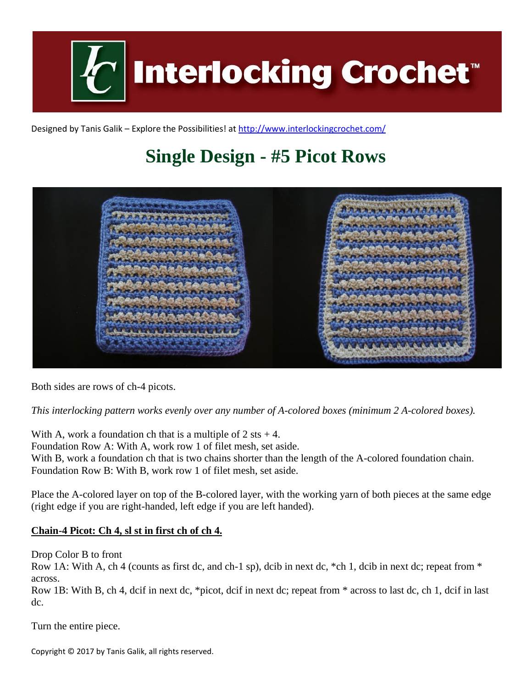

Designed by Tanis Galik – Explore the Possibilities! a[t http://www.interlockingcrochet.com/](http://www.interlockingcrochet.com/)

# **Single Design - #5 Picot Rows**



Both sides are rows of ch-4 picots.

*This interlocking pattern works evenly over any number of A-colored boxes (minimum 2 A-colored boxes).*

With A, work a foundation ch that is a multiple of  $2$  sts  $+ 4$ . Foundation Row A: With A, work row 1 of filet mesh, set aside. With B, work a foundation ch that is two chains shorter than the length of the A-colored foundation chain. Foundation Row B: With B, work row 1 of filet mesh, set aside.

Place the A-colored layer on top of the B-colored layer, with the working yarn of both pieces at the same edge (right edge if you are right-handed, left edge if you are left handed).

#### **Chain-4 Picot: Ch 4, sl st in first ch of ch 4.**

Drop Color B to front

Row 1A: With A, ch 4 (counts as first dc, and ch-1 sp), dcib in next dc, \*ch 1, dcib in next dc; repeat from \* across.

Row 1B: With B, ch 4, dcif in next dc, \*picot, dcif in next dc; repeat from \* across to last dc, ch 1, dcif in last dc.

Turn the entire piece.

Copyright © 2017 by Tanis Galik, all rights reserved.